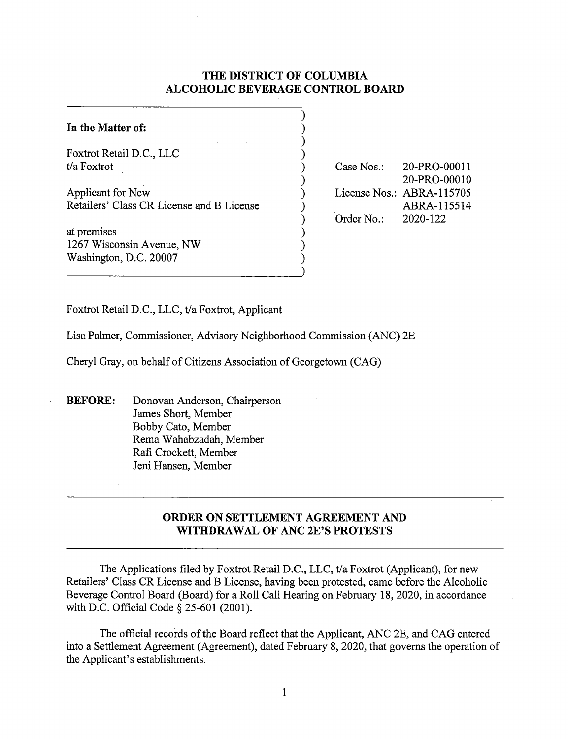# **THE DISTRICT OF COLUMBIA ALCOHOLIC BEVERAGE CONTROL BOARD**

| In the Matter of:                                                  |  |
|--------------------------------------------------------------------|--|
| Foxtrot Retail D.C., LLC<br>t/a Foxtrot                            |  |
| Applicant for New<br>Retailers' Class CR License and B License     |  |
| at premises<br>1267 Wisconsin Avenue, NW<br>Washington, D.C. 20007 |  |

Case Nos.: 20-PRO-00011 20-PRO-00010 License Nos.: ABRA-115705 ABRA-115514 Order No.: 2020-122

Foxtrot Retail D.C., LLC, t/a Foxtrot, Applicant

Lisa Palmer, Commissioner, Advisory Neighborhood Commission (ANC) 2E

Cheryl Gray, on behalf of Citizens Association of Georgetown (CAG)

**BEFORE:** Donovan Anderson, Chairperson James Short, Member Bobby Cato, Member Rema Wahabzadah, Member Rafi Crockett, Member Jeni Hansen, Member

# **ORDER ON SETTLEMENT AGREEMENT AND WITHDRAWAL OF ANC 2E'S PROTESTS**

The Applications filed by Foxtrot Retail D.C., LLC, t/a Foxtrot (Applicant), for new Retailers' Class CR License and B License, having been protested, came before the Alcoholic Beverage Control Board (Board) for a Roll Call Hearing on February 18, 2020, in accordance with D.C. Official Code§ 25-601 (2001).

The official records of the Board reflect that the Applicant, ANC 2E, and CAG entered into a Settlement Agreement (Agreement), dated February 8, 2020, that governs the operation of the Applicant's establishments.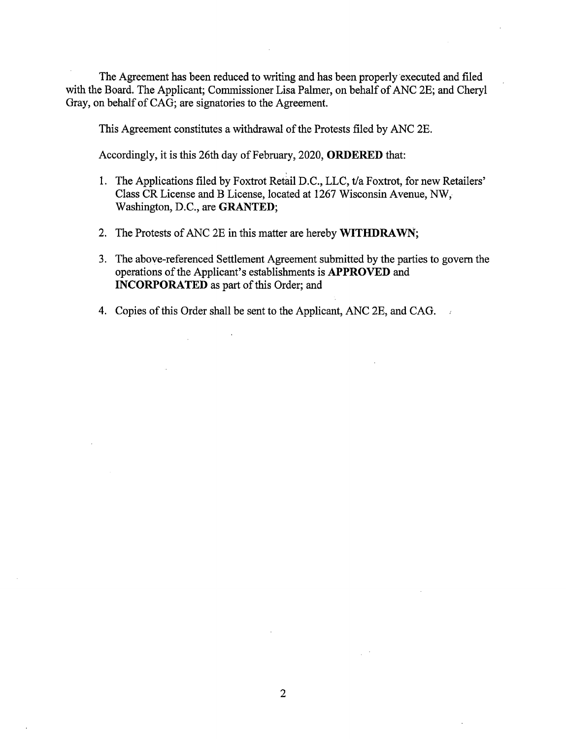The Agreement has been reduced to writing and has been properly executed and filed with the Board. The Applicant; Commissioner Lisa Palmer, on behalf of ANC 2E; and Cheryl Gray, on behalf of CAG; are signatories to the Agreement.

This Agreement constitutes a withdrawal of the Protests filed by ANC 2E.

Accordingly, it is this 26th day of February, 2020, **ORDERED** that:

- 1. The Applications filed by Foxtrot Retail D.C., LLC, t/a Foxtrot, for new Retailers' Class CR License and B License, located at 1267 Wisconsin Avenue, NW, Washington, D.C., are **GRANTED;**
- 2. The Protests of ANC 2E in this matter are hereby **WITHDRAWN;**
- 3. The above-referenced Settlement Agreement submitted by the parties to govern the operations of the Applicant's establishments is **APPROVED** and **INCORPORATED** as part of this Order; and
- 4. Copies of this Order shall be sent to the Applicant, ANC 2E, and CAG.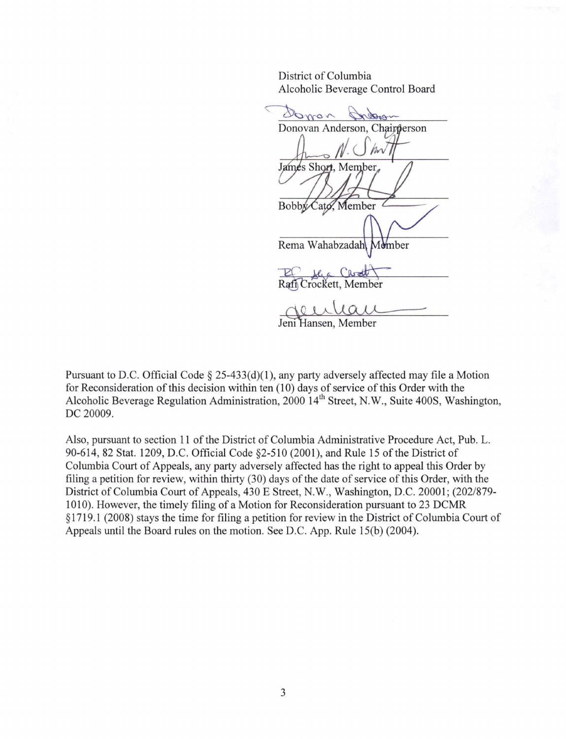District of Columbia Alcoholic Beverage Control Board

Donon retorn Donovan Anderson, Chairperson James Short, Member Bobby Cato, Member Rema Wahabzadah Member Wahabzadah Momber<br>
<u>Kac Chadd</u><br>Cockett, Member<br>
La Call<br>
Insen, Member .

Jeni Hansen, Member

Pursuant to D.C. Official Code § 25-433(d)(1), any party adversely affected may file a Motion for Reconsideration of this decision within ten (10) days of service of this Order with the Alcoholic Beverage Regulation Administration, 2000 14<sup>th</sup> Street, N.W., Suite 400S, Washington, DC 20009.

Also, pursuant to section 11 of the District of Columbia Administrative Procedure Act, Pub. L. 90-614, 82 Stat. 1209, D.C. Official Code §2-510 (2001), and Rule 15 of the District of Columbia Court of Appeals, any party adversely affected has the right to appeal this Order by filing a petition for review, within thirty (30) days of the date of service of this Order, with the District of Columbia Court of Appeals, 430 E Street, N.W., Washington, D.C. 20001; (202/879-1010). However, the timely filing of a Motion for Reconsideration pursuant to 23 DCMR § 1719 .1 (2008) stays the time for filing a petition for review in the District of Columbia Court of Appeals until the Board rules on the motion. See D.C. App. Rule 15(b) (2004).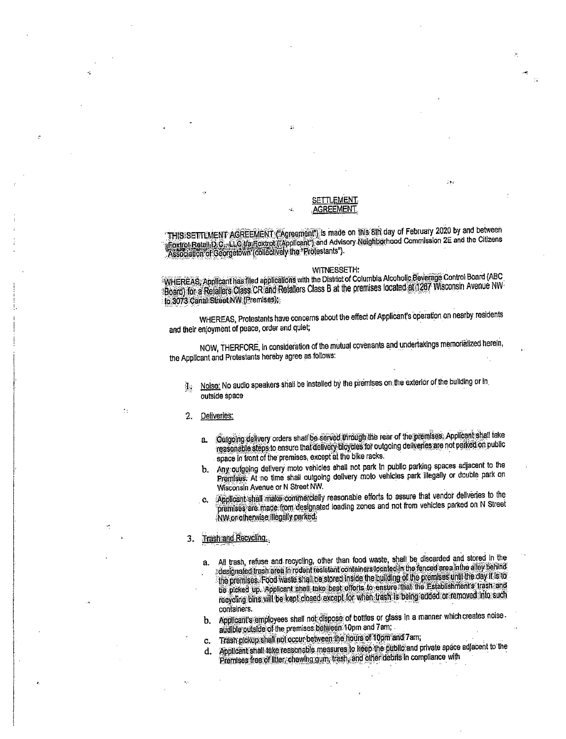## **SETTLEMENT AGREEMENT**

THIS SETTLMENT AGREEMENT ("Agreement") is made on Inis 8th day of February 2020 by and between Froctrol Retail D.C., L.C. Varifoxtrol ("Applicant") and Advisory Neighborhood Commission 2E and the Citizens<br>"Association of Georgetown (collectively the "Protestants").

### WITNESSETH:

WHEREAS, Applicant has filed applications with the District of Columbia Alcoholic Beverage Control Board (ABC Board) for a Relations Class CR and Relations Class B at the premises located at 1267 Wisconsin Avenue NW to 3073 Canal Street NW (Premises):

WHEREAS, Protestants have concerns about the effect of Applicant's operation on nearby residents and their enjoyment of peace, order and quiet;

NOW, THERFORE, in consideration of the mutual covenants and undertakings memorialized herein, the Applicant and Protestants hereby agree as follows:

Noise: No audio speakers shall be installed by the premises on the exterior of the building or in d. outside space

#### Deliveries:  $2.$

- Ourgoing delivery orders shall be served through the rear of the premises. Applicant shall take я. reasonable steps to ensure that delivery bloydes for outgoing deliveries are not parked on public space in front of the premises, except at the blke racks.
- b. Any outgoing delivery moto vehicles shall not park in public parking spaces adjacent to the Premises: At no time shall outgoing delivery moto vehicles park illegally or double park on Wisconsin Avenue or N Street NW.
- Applicant shall make commercially reasonable efforts to assure that vendor deliveries to the C. premises are made from designated loading zones and not from vehicles parked on N Street NW or otherwise flegally parked.

### Trash and Recycling.  $3_{-}$

- All trash, refuse and recycling, other than food waste, shall be discarded and stored in the  $a<sub>z</sub>$ designated trash area in rodent resistant containers located in the fenced area in the alloy behind the premises. Food waste shall be stored inside the building of the premises until the day it is to be proked up. Applicant shall take best efforts to ensure that the Establishments trash and recycling bins will be kept closed except for when trash is being added or removed into such containers.
- Applicant's employees shall not dispose of bottles or glass in a manner which creates noise b. audible outside of the premises between 10pm and 7am;
- Trash pickup shall not occur between the hours of 10pm and 7am; c.
- Applicant shall take reasonable measures to keep the public and private space adjacent to the d. Premises free of litter, chewing gum, trash, and other debits in compliance with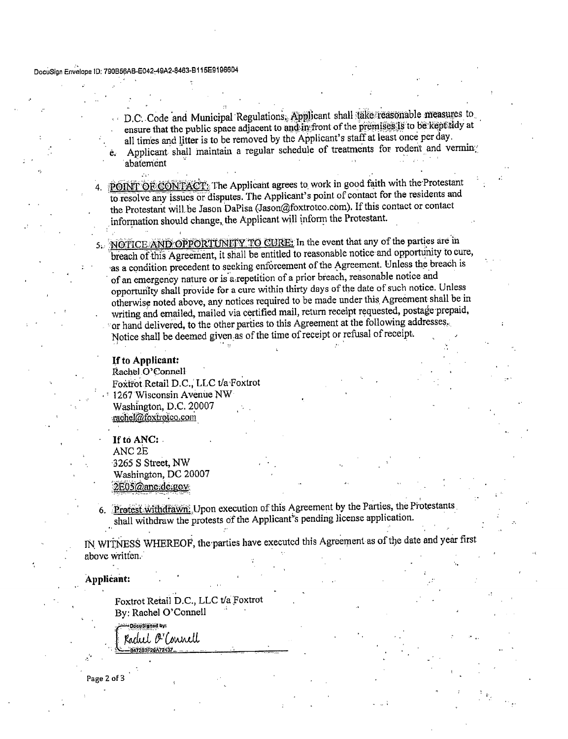ė.

D.C. Code and Municipal Regulations, Applicant shall take reasonable measures to ensure that the public space adjacent to and in front of the premises is to be kept tidy at all times and litter is to be removed by the Applicant's staff at least once per day. Applicant shall maintain a regular schedule of treatments for rodent and vermin abatement

4. POINT OF CONTACT: The Applicant agrees to work in good faith with the Protestant to resolve any issues or disputes. The Applicant's point of contact for the residents and the Protestant will be Jason DaPisa (Jason@foxtrotco.com). If this contact or contact information should change, the Applicant will inform the Protestant.

NOTICE AND OPPORTUNITY TO CURE: In the event that any of the parties are in breach of this Agreement, it shall be entitled to reasonable notice and opportunity to cure, as a condition precedent to seeking enforcement of the Agreement. Unless the breach is of an emergency nature or is a repetition of a prior breach, reasonable notice and opportunity shall provide for a cure within thirty days of the date of such notice. Unless otherwise noted above, any notices required to be made under this Agreement shall be in writing and emailed, mailed via certified mail, return receipt requested, postage prepaid, or hand delivered, to the other parties to this Agreement at the following addresses. Notice shall be deemed given as of the time of receipt or refusal of receipt.

## If to Applicant:

Rachel O'Connell Foxtrot Retail D.C., LLC t/a Foxtrot 1267 Wisconsin Avenue NW Washington, D.C. 20007 rachel@foxtrotco.com

If to ANC: ANC<sub>2E</sub> 3265 S Street, NW Washington, DC 20007 2E05@anc.dc.gov

6. Protest withdrawn. Upon execution of this Agreement by the Parties, the Protestants shall withdraw the protests of the Applicant's pending license application.

IN WITNESS WHEREOF, the parties have executed this Agreement as of the date and year first above written.

Applicant:

Foxtrot Retail D.C., LLC t/a Foxtrot By: Rachel O'Connell

.<br>Mõrii Slaned by: Radul O'Connell **B47203F29A72437\_** 

Page 2 of 3